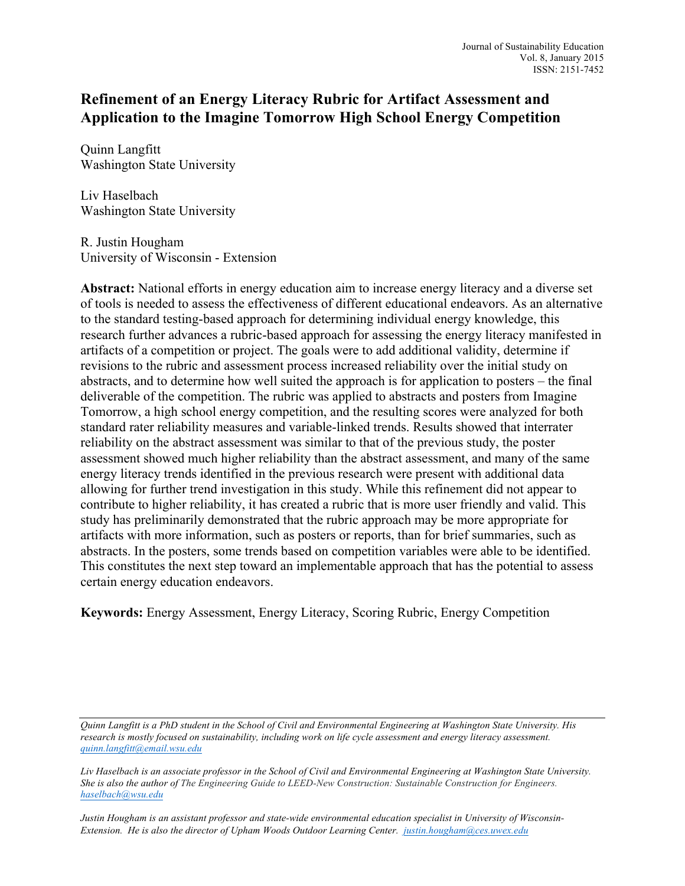# **Refinement of an Energy Literacy Rubric for Artifact Assessment and Application to the Imagine Tomorrow High School Energy Competition**

Quinn Langfitt Washington State University

Liv Haselbach Washington State University

R. Justin Hougham University of Wisconsin - Extension

**Abstract:** National efforts in energy education aim to increase energy literacy and a diverse set of tools is needed to assess the effectiveness of different educational endeavors. As an alternative to the standard testing-based approach for determining individual energy knowledge, this research further advances a rubric-based approach for assessing the energy literacy manifested in artifacts of a competition or project. The goals were to add additional validity, determine if revisions to the rubric and assessment process increased reliability over the initial study on abstracts, and to determine how well suited the approach is for application to posters – the final deliverable of the competition. The rubric was applied to abstracts and posters from Imagine Tomorrow, a high school energy competition, and the resulting scores were analyzed for both standard rater reliability measures and variable-linked trends. Results showed that interrater reliability on the abstract assessment was similar to that of the previous study, the poster assessment showed much higher reliability than the abstract assessment, and many of the same energy literacy trends identified in the previous research were present with additional data allowing for further trend investigation in this study. While this refinement did not appear to contribute to higher reliability, it has created a rubric that is more user friendly and valid. This study has preliminarily demonstrated that the rubric approach may be more appropriate for artifacts with more information, such as posters or reports, than for brief summaries, such as abstracts. In the posters, some trends based on competition variables were able to be identified. This constitutes the next step toward an implementable approach that has the potential to assess certain energy education endeavors.

**Keywords:** Energy Assessment, Energy Literacy, Scoring Rubric, Energy Competition

*Quinn Langfitt is a PhD student in the School of Civil and Environmental Engineering at Washington State University. His research is mostly focused on sustainability, including work on life cycle assessment and energy literacy assessment. quinn.langfitt@email.wsu.edu*

*Liv Haselbach is an associate professor in the School of Civil and Environmental Engineering at Washington State University. She is also the author of The Engineering Guide to LEED-New Construction: Sustainable Construction for Engineers. haselbach@wsu.edu*

*Justin Hougham is an assistant professor and state-wide environmental education specialist in University of Wisconsin-Extension. He is also the director of Upham Woods Outdoor Learning Center. justin.hougham@ces.uwex.edu*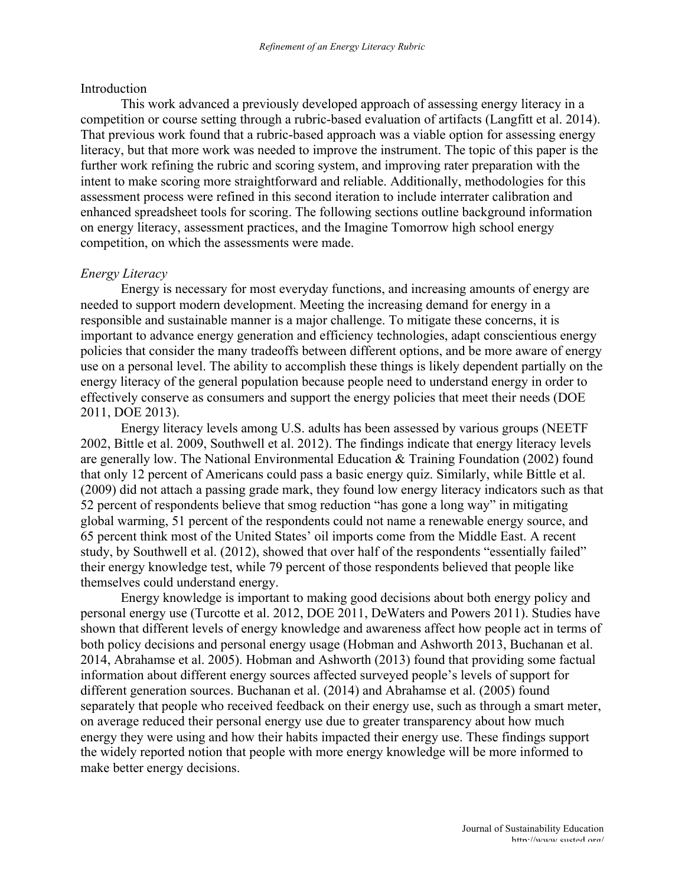#### Introduction

This work advanced a previously developed approach of assessing energy literacy in a competition or course setting through a rubric-based evaluation of artifacts (Langfitt et al. 2014). That previous work found that a rubric-based approach was a viable option for assessing energy literacy, but that more work was needed to improve the instrument. The topic of this paper is the further work refining the rubric and scoring system, and improving rater preparation with the intent to make scoring more straightforward and reliable. Additionally, methodologies for this assessment process were refined in this second iteration to include interrater calibration and enhanced spreadsheet tools for scoring. The following sections outline background information on energy literacy, assessment practices, and the Imagine Tomorrow high school energy competition, on which the assessments were made.

### *Energy Literacy*

Energy is necessary for most everyday functions, and increasing amounts of energy are needed to support modern development. Meeting the increasing demand for energy in a responsible and sustainable manner is a major challenge. To mitigate these concerns, it is important to advance energy generation and efficiency technologies, adapt conscientious energy policies that consider the many tradeoffs between different options, and be more aware of energy use on a personal level. The ability to accomplish these things is likely dependent partially on the energy literacy of the general population because people need to understand energy in order to effectively conserve as consumers and support the energy policies that meet their needs (DOE 2011, DOE 2013).

Energy literacy levels among U.S. adults has been assessed by various groups (NEETF 2002, Bittle et al. 2009, Southwell et al. 2012). The findings indicate that energy literacy levels are generally low. The National Environmental Education & Training Foundation (2002) found that only 12 percent of Americans could pass a basic energy quiz. Similarly, while Bittle et al. (2009) did not attach a passing grade mark, they found low energy literacy indicators such as that 52 percent of respondents believe that smog reduction "has gone a long way" in mitigating global warming, 51 percent of the respondents could not name a renewable energy source, and 65 percent think most of the United States' oil imports come from the Middle East. A recent study, by Southwell et al. (2012), showed that over half of the respondents "essentially failed" their energy knowledge test, while 79 percent of those respondents believed that people like themselves could understand energy.

Energy knowledge is important to making good decisions about both energy policy and personal energy use (Turcotte et al. 2012, DOE 2011, DeWaters and Powers 2011). Studies have shown that different levels of energy knowledge and awareness affect how people act in terms of both policy decisions and personal energy usage (Hobman and Ashworth 2013, Buchanan et al. 2014, Abrahamse et al. 2005). Hobman and Ashworth (2013) found that providing some factual information about different energy sources affected surveyed people's levels of support for different generation sources. Buchanan et al. (2014) and Abrahamse et al. (2005) found separately that people who received feedback on their energy use, such as through a smart meter, on average reduced their personal energy use due to greater transparency about how much energy they were using and how their habits impacted their energy use. These findings support the widely reported notion that people with more energy knowledge will be more informed to make better energy decisions.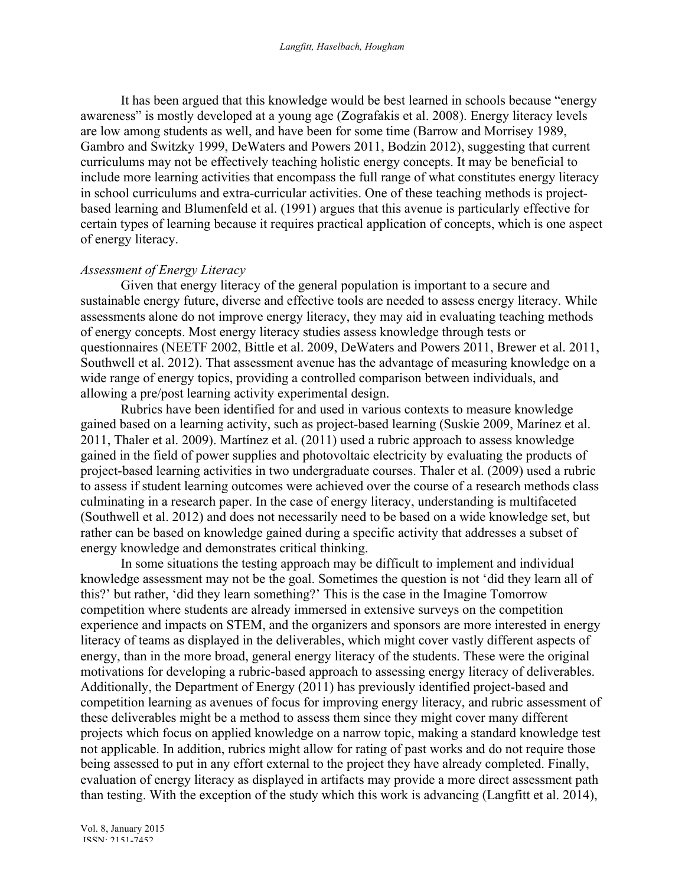It has been argued that this knowledge would be best learned in schools because "energy awareness" is mostly developed at a young age (Zografakis et al. 2008). Energy literacy levels are low among students as well, and have been for some time (Barrow and Morrisey 1989, Gambro and Switzky 1999, DeWaters and Powers 2011, Bodzin 2012), suggesting that current curriculums may not be effectively teaching holistic energy concepts. It may be beneficial to include more learning activities that encompass the full range of what constitutes energy literacy in school curriculums and extra-curricular activities. One of these teaching methods is projectbased learning and Blumenfeld et al. (1991) argues that this avenue is particularly effective for certain types of learning because it requires practical application of concepts, which is one aspect of energy literacy.

### *Assessment of Energy Literacy*

Given that energy literacy of the general population is important to a secure and sustainable energy future, diverse and effective tools are needed to assess energy literacy. While assessments alone do not improve energy literacy, they may aid in evaluating teaching methods of energy concepts. Most energy literacy studies assess knowledge through tests or questionnaires (NEETF 2002, Bittle et al. 2009, DeWaters and Powers 2011, Brewer et al. 2011, Southwell et al. 2012). That assessment avenue has the advantage of measuring knowledge on a wide range of energy topics, providing a controlled comparison between individuals, and allowing a pre/post learning activity experimental design.

Rubrics have been identified for and used in various contexts to measure knowledge gained based on a learning activity, such as project-based learning (Suskie 2009, Marínez et al. 2011, Thaler et al. 2009). Martínez et al. (2011) used a rubric approach to assess knowledge gained in the field of power supplies and photovoltaic electricity by evaluating the products of project-based learning activities in two undergraduate courses. Thaler et al. (2009) used a rubric to assess if student learning outcomes were achieved over the course of a research methods class culminating in a research paper. In the case of energy literacy, understanding is multifaceted (Southwell et al. 2012) and does not necessarily need to be based on a wide knowledge set, but rather can be based on knowledge gained during a specific activity that addresses a subset of energy knowledge and demonstrates critical thinking.

In some situations the testing approach may be difficult to implement and individual knowledge assessment may not be the goal. Sometimes the question is not 'did they learn all of this?' but rather, 'did they learn something?' This is the case in the Imagine Tomorrow competition where students are already immersed in extensive surveys on the competition experience and impacts on STEM, and the organizers and sponsors are more interested in energy literacy of teams as displayed in the deliverables, which might cover vastly different aspects of energy, than in the more broad, general energy literacy of the students. These were the original motivations for developing a rubric-based approach to assessing energy literacy of deliverables. Additionally, the Department of Energy (2011) has previously identified project-based and competition learning as avenues of focus for improving energy literacy, and rubric assessment of these deliverables might be a method to assess them since they might cover many different projects which focus on applied knowledge on a narrow topic, making a standard knowledge test not applicable. In addition, rubrics might allow for rating of past works and do not require those being assessed to put in any effort external to the project they have already completed. Finally, evaluation of energy literacy as displayed in artifacts may provide a more direct assessment path than testing. With the exception of the study which this work is advancing (Langfitt et al. 2014),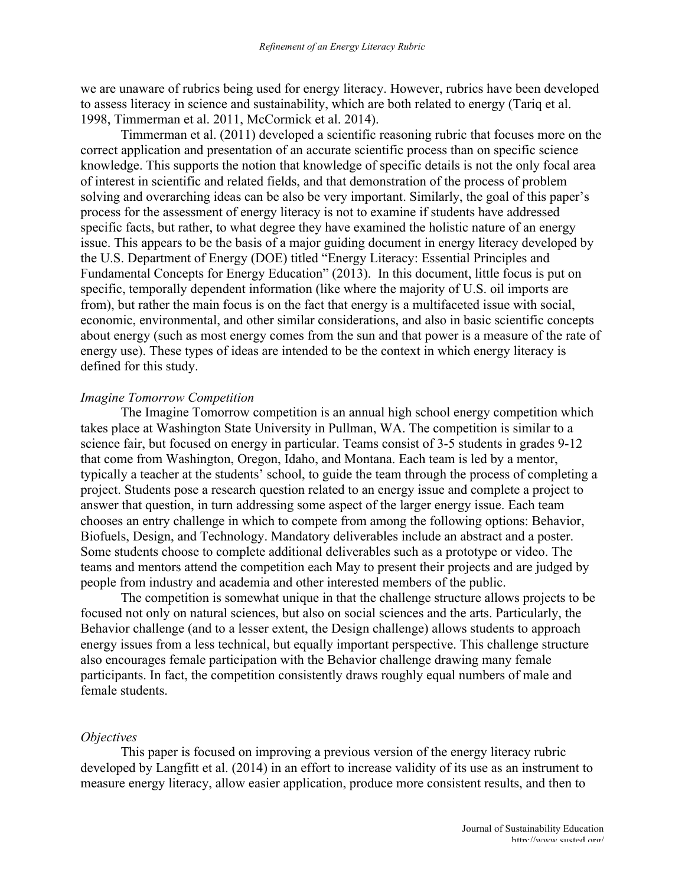we are unaware of rubrics being used for energy literacy. However, rubrics have been developed to assess literacy in science and sustainability, which are both related to energy (Tariq et al. 1998, Timmerman et al. 2011, McCormick et al. 2014).

Timmerman et al. (2011) developed a scientific reasoning rubric that focuses more on the correct application and presentation of an accurate scientific process than on specific science knowledge. This supports the notion that knowledge of specific details is not the only focal area of interest in scientific and related fields, and that demonstration of the process of problem solving and overarching ideas can be also be very important. Similarly, the goal of this paper's process for the assessment of energy literacy is not to examine if students have addressed specific facts, but rather, to what degree they have examined the holistic nature of an energy issue. This appears to be the basis of a major guiding document in energy literacy developed by the U.S. Department of Energy (DOE) titled "Energy Literacy: Essential Principles and Fundamental Concepts for Energy Education" (2013). In this document, little focus is put on specific, temporally dependent information (like where the majority of U.S. oil imports are from), but rather the main focus is on the fact that energy is a multifaceted issue with social, economic, environmental, and other similar considerations, and also in basic scientific concepts about energy (such as most energy comes from the sun and that power is a measure of the rate of energy use). These types of ideas are intended to be the context in which energy literacy is defined for this study.

#### *Imagine Tomorrow Competition*

The Imagine Tomorrow competition is an annual high school energy competition which takes place at Washington State University in Pullman, WA. The competition is similar to a science fair, but focused on energy in particular. Teams consist of 3-5 students in grades 9-12 that come from Washington, Oregon, Idaho, and Montana. Each team is led by a mentor, typically a teacher at the students' school, to guide the team through the process of completing a project. Students pose a research question related to an energy issue and complete a project to answer that question, in turn addressing some aspect of the larger energy issue. Each team chooses an entry challenge in which to compete from among the following options: Behavior, Biofuels, Design, and Technology. Mandatory deliverables include an abstract and a poster. Some students choose to complete additional deliverables such as a prototype or video. The teams and mentors attend the competition each May to present their projects and are judged by people from industry and academia and other interested members of the public.

The competition is somewhat unique in that the challenge structure allows projects to be focused not only on natural sciences, but also on social sciences and the arts. Particularly, the Behavior challenge (and to a lesser extent, the Design challenge) allows students to approach energy issues from a less technical, but equally important perspective. This challenge structure also encourages female participation with the Behavior challenge drawing many female participants. In fact, the competition consistently draws roughly equal numbers of male and female students.

### *Objectives*

This paper is focused on improving a previous version of the energy literacy rubric developed by Langfitt et al. (2014) in an effort to increase validity of its use as an instrument to measure energy literacy, allow easier application, produce more consistent results, and then to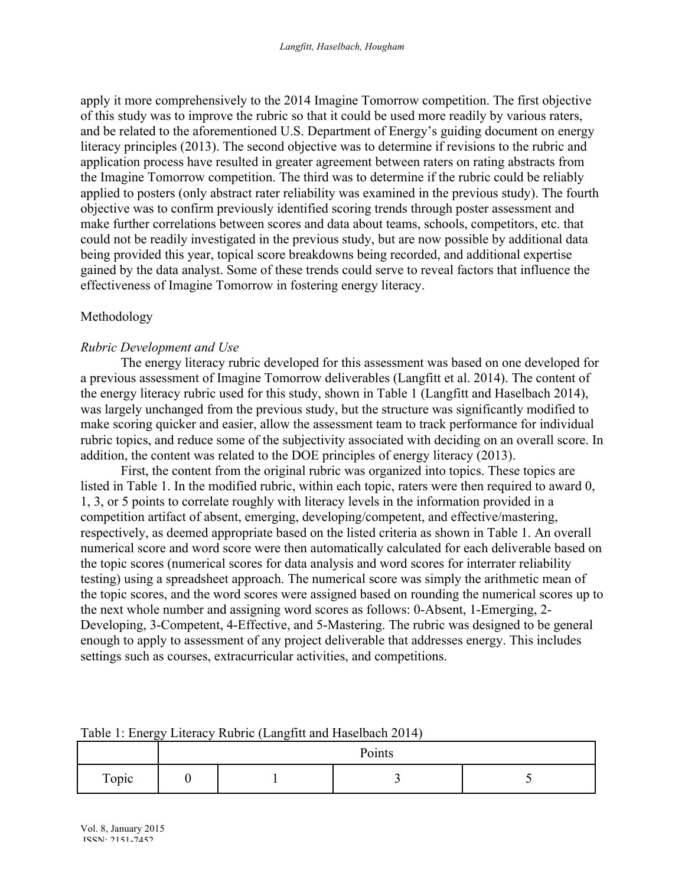apply it more comprehensively to the 2014 Imagine Tomorrow competition. The first objective of this study was to improve the rubric so that it could be used more readily by various raters, and be related to the aforementioned U.S. Department of Energy's guiding document on energy literacy principles (2013). The second objective was to determine if revisions to the rubric and application process have resulted in greater agreement between raters on rating abstracts from the Imagine Tomorrow competition. The third was to determine if the rubric could be reliably applied to posters (only abstract rater reliability was examined in the previous study). The fourth objective was to confirm previously identified scoring trends through poster assessment and make further correlations between scores and data about teams, schools, competitors, etc. that could not be readily investigated in the previous study, but are now possible by additional data being provided this year, topical score breakdowns being recorded, and additional expertise gained by the data analyst. Some of these trends could serve to reveal factors that influence the effectiveness of Imagine Tomorrow in fostering energy literacy.

## Methodology

## *Rubric Development and Use*

The energy literacy rubric developed for this assessment was based on one developed for a previous assessment of Imagine Tomorrow deliverables (Langfitt et al. 2014). The content of the energy literacy rubric used for this study, shown in Table 1 (Langfitt and Haselbach 2014), was largely unchanged from the previous study, but the structure was significantly modified to make scoring quicker and easier, allow the assessment team to track performance for individual rubric topics, and reduce some of the subjectivity associated with deciding on an overall score. In addition, the content was related to the DOE principles of energy literacy (2013).

First, the content from the original rubric was organized into topics. These topics are listed in Table 1. In the modified rubric, within each topic, raters were then required to award 0, 1, 3, or 5 points to correlate roughly with literacy levels in the information provided in a competition artifact of absent, emerging, developing/competent, and effective/mastering, respectively, as deemed appropriate based on the listed criteria as shown in Table 1. An overall numerical score and word score were then automatically calculated for each deliverable based on the topic scores (numerical scores for data analysis and word scores for interrater reliability testing) using a spreadsheet approach. The numerical score was simply the arithmetic mean of the topic scores, and the word scores were assigned based on rounding the numerical scores up to the next whole number and assigning word scores as follows: 0-Absent, 1-Emerging, 2- Developing, 3-Competent, 4-Effective, and 5-Mastering. The rubric was designed to be general enough to apply to assessment of any project deliverable that addresses energy. This includes settings such as courses, extracurricular activities, and competitions.

|       | $\tilde{\phantom{a}}$<br>$\tilde{\phantom{a}}$<br>Points |  |  |  |  |  |  |  |
|-------|----------------------------------------------------------|--|--|--|--|--|--|--|
| Topic |                                                          |  |  |  |  |  |  |  |

## Table 1: Energy Literacy Rubric (Langfitt and Haselbach 2014)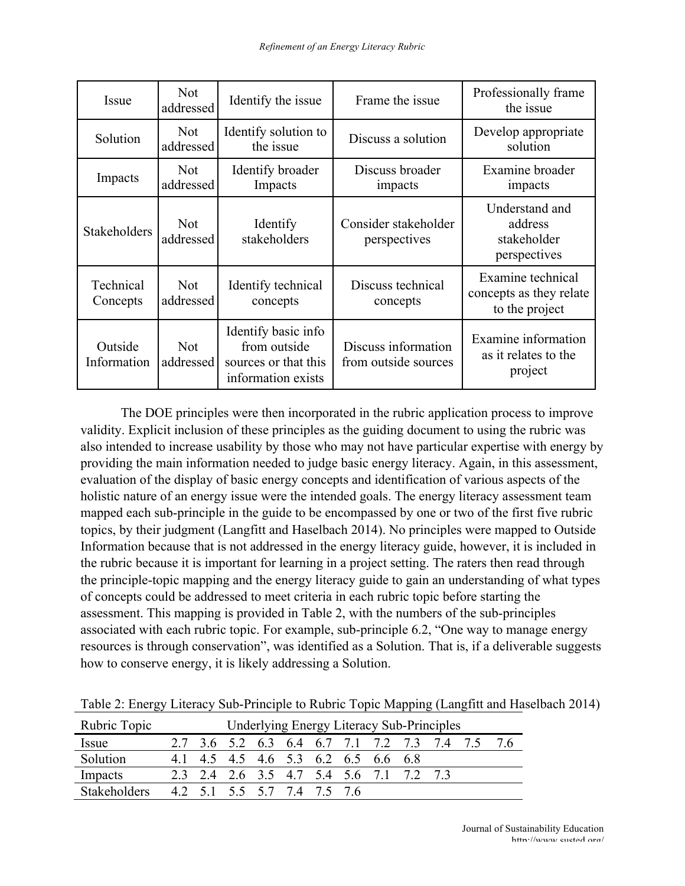| Issue                  | <b>Not</b><br>addressed | Identify the issue                                                                | Frame the issue                             | Professionally frame<br>the issue                              |  |
|------------------------|-------------------------|-----------------------------------------------------------------------------------|---------------------------------------------|----------------------------------------------------------------|--|
| Solution               | <b>Not</b><br>addressed | Identify solution to<br>the issue                                                 | Discuss a solution                          | Develop appropriate<br>solution                                |  |
| Impacts                | <b>Not</b><br>addressed | Identify broader<br>Impacts                                                       | Discuss broader<br>impacts                  | Examine broader<br>impacts                                     |  |
| <b>Stakeholders</b>    | <b>Not</b><br>addressed | Identify<br>stakeholders                                                          | Consider stakeholder<br>perspectives        | Understand and<br>address<br>stakeholder<br>perspectives       |  |
| Technical<br>Concepts  | <b>Not</b><br>addressed | Identify technical<br>concepts                                                    | Discuss technical<br>concepts               | Examine technical<br>concepts as they relate<br>to the project |  |
| Outside<br>Information | <b>Not</b><br>addressed | Identify basic info<br>from outside<br>sources or that this<br>information exists | Discuss information<br>from outside sources | Examine information<br>as it relates to the<br>project         |  |

The DOE principles were then incorporated in the rubric application process to improve validity. Explicit inclusion of these principles as the guiding document to using the rubric was also intended to increase usability by those who may not have particular expertise with energy by providing the main information needed to judge basic energy literacy. Again, in this assessment, evaluation of the display of basic energy concepts and identification of various aspects of the holistic nature of an energy issue were the intended goals. The energy literacy assessment team mapped each sub-principle in the guide to be encompassed by one or two of the first five rubric topics, by their judgment (Langfitt and Haselbach 2014). No principles were mapped to Outside Information because that is not addressed in the energy literacy guide, however, it is included in the rubric because it is important for learning in a project setting. The raters then read through the principle-topic mapping and the energy literacy guide to gain an understanding of what types of concepts could be addressed to meet criteria in each rubric topic before starting the assessment. This mapping is provided in Table 2, with the numbers of the sub-principles associated with each rubric topic. For example, sub-principle 6.2, "One way to manage energy resources is through conservation", was identified as a Solution. That is, if a deliverable suggests how to conserve energy, it is likely addressing a Solution.

| Rubric Topic        | <b>Underlying Energy Literacy Sub-Principles</b> |  |  |  |                             |  |  |                                     |                                         |                                                 |  |
|---------------------|--------------------------------------------------|--|--|--|-----------------------------|--|--|-------------------------------------|-----------------------------------------|-------------------------------------------------|--|
| Issue               |                                                  |  |  |  |                             |  |  |                                     |                                         | 2.7 3.6 5.2 6.3 6.4 6.7 7.1 7.2 7.3 7.4 7.5 7.6 |  |
| Solution            |                                                  |  |  |  |                             |  |  | 4.1 4.5 4.5 4.6 5.3 6.2 6.5 6.6 6.8 |                                         |                                                 |  |
| Impacts             |                                                  |  |  |  |                             |  |  |                                     | 2.3 2.4 2.6 3.5 4.7 5.4 5.6 7.1 7.2 7.3 |                                                 |  |
| <b>Stakeholders</b> |                                                  |  |  |  | 4.2 5.1 5.5 5.7 7.4 7.5 7.6 |  |  |                                     |                                         |                                                 |  |

Table 2: Energy Literacy Sub-Principle to Rubric Topic Mapping (Langfitt and Haselbach 2014)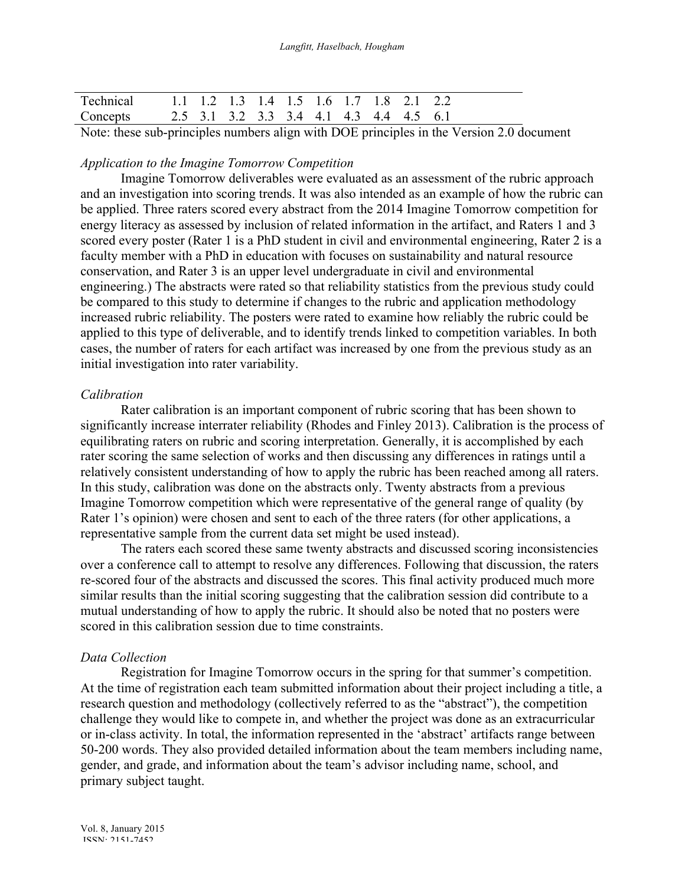| Technical 1.1 1.2 1.3 1.4 1.5 1.6 1.7 1.8 2.1 2.2 |  |  |  |  |  |  |
|---------------------------------------------------|--|--|--|--|--|--|
| Concepts 2.5 3.1 3.2 3.3 3.4 4.1 4.3 4.4 4.5 6.1  |  |  |  |  |  |  |
|                                                   |  |  |  |  |  |  |

Note: these sub-principles numbers align with DOE principles in the Version 2.0 document

## *Application to the Imagine Tomorrow Competition*

Imagine Tomorrow deliverables were evaluated as an assessment of the rubric approach and an investigation into scoring trends. It was also intended as an example of how the rubric can be applied. Three raters scored every abstract from the 2014 Imagine Tomorrow competition for energy literacy as assessed by inclusion of related information in the artifact, and Raters 1 and 3 scored every poster (Rater 1 is a PhD student in civil and environmental engineering, Rater 2 is a faculty member with a PhD in education with focuses on sustainability and natural resource conservation, and Rater 3 is an upper level undergraduate in civil and environmental engineering.) The abstracts were rated so that reliability statistics from the previous study could be compared to this study to determine if changes to the rubric and application methodology increased rubric reliability. The posters were rated to examine how reliably the rubric could be applied to this type of deliverable, and to identify trends linked to competition variables. In both cases, the number of raters for each artifact was increased by one from the previous study as an initial investigation into rater variability.

## *Calibration*

Rater calibration is an important component of rubric scoring that has been shown to significantly increase interrater reliability (Rhodes and Finley 2013). Calibration is the process of equilibrating raters on rubric and scoring interpretation. Generally, it is accomplished by each rater scoring the same selection of works and then discussing any differences in ratings until a relatively consistent understanding of how to apply the rubric has been reached among all raters. In this study, calibration was done on the abstracts only. Twenty abstracts from a previous Imagine Tomorrow competition which were representative of the general range of quality (by Rater 1's opinion) were chosen and sent to each of the three raters (for other applications, a representative sample from the current data set might be used instead).

The raters each scored these same twenty abstracts and discussed scoring inconsistencies over a conference call to attempt to resolve any differences. Following that discussion, the raters re-scored four of the abstracts and discussed the scores. This final activity produced much more similar results than the initial scoring suggesting that the calibration session did contribute to a mutual understanding of how to apply the rubric. It should also be noted that no posters were scored in this calibration session due to time constraints.

## *Data Collection*

Registration for Imagine Tomorrow occurs in the spring for that summer's competition. At the time of registration each team submitted information about their project including a title, a research question and methodology (collectively referred to as the "abstract"), the competition challenge they would like to compete in, and whether the project was done as an extracurricular or in-class activity. In total, the information represented in the 'abstract' artifacts range between 50-200 words. They also provided detailed information about the team members including name, gender, and grade, and information about the team's advisor including name, school, and primary subject taught.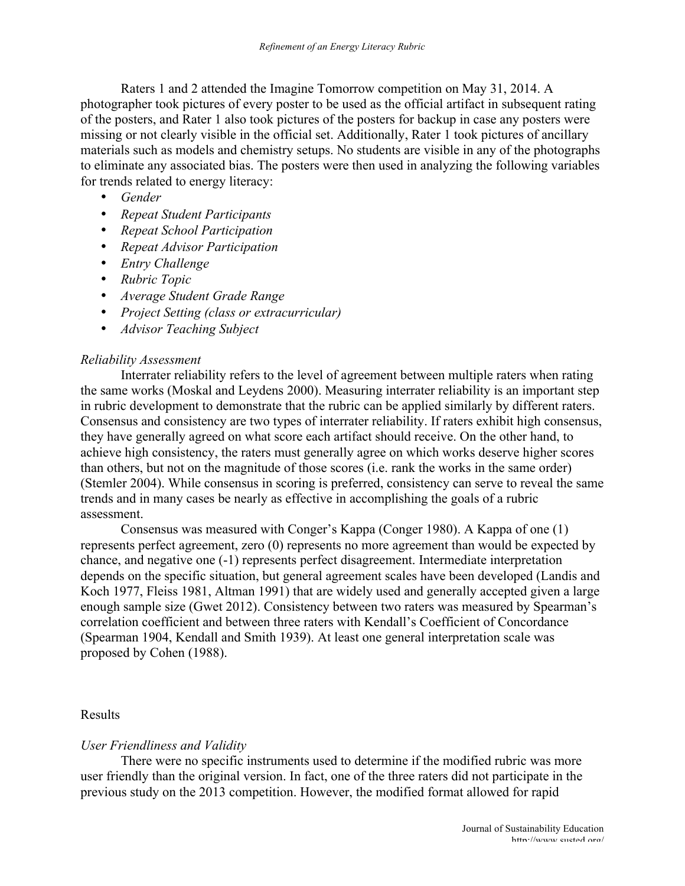Raters 1 and 2 attended the Imagine Tomorrow competition on May 31, 2014. A photographer took pictures of every poster to be used as the official artifact in subsequent rating of the posters, and Rater 1 also took pictures of the posters for backup in case any posters were missing or not clearly visible in the official set. Additionally, Rater 1 took pictures of ancillary materials such as models and chemistry setups. No students are visible in any of the photographs to eliminate any associated bias. The posters were then used in analyzing the following variables for trends related to energy literacy:

- *Gender*
- *Repeat Student Participants*
- *Repeat School Participation*
- *Repeat Advisor Participation*
- *Entry Challenge*
- *Rubric Topic*
- *Average Student Grade Range*
- *Project Setting (class or extracurricular)*
- *Advisor Teaching Subject*

## *Reliability Assessment*

Interrater reliability refers to the level of agreement between multiple raters when rating the same works (Moskal and Leydens 2000). Measuring interrater reliability is an important step in rubric development to demonstrate that the rubric can be applied similarly by different raters. Consensus and consistency are two types of interrater reliability. If raters exhibit high consensus, they have generally agreed on what score each artifact should receive. On the other hand, to achieve high consistency, the raters must generally agree on which works deserve higher scores than others, but not on the magnitude of those scores (i.e. rank the works in the same order) (Stemler 2004). While consensus in scoring is preferred, consistency can serve to reveal the same trends and in many cases be nearly as effective in accomplishing the goals of a rubric assessment.

Consensus was measured with Conger's Kappa (Conger 1980). A Kappa of one (1) represents perfect agreement, zero (0) represents no more agreement than would be expected by chance, and negative one (-1) represents perfect disagreement. Intermediate interpretation depends on the specific situation, but general agreement scales have been developed (Landis and Koch 1977, Fleiss 1981, Altman 1991) that are widely used and generally accepted given a large enough sample size (Gwet 2012). Consistency between two raters was measured by Spearman's correlation coefficient and between three raters with Kendall's Coefficient of Concordance (Spearman 1904, Kendall and Smith 1939). At least one general interpretation scale was proposed by Cohen (1988).

### Results

## *User Friendliness and Validity*

There were no specific instruments used to determine if the modified rubric was more user friendly than the original version. In fact, one of the three raters did not participate in the previous study on the 2013 competition. However, the modified format allowed for rapid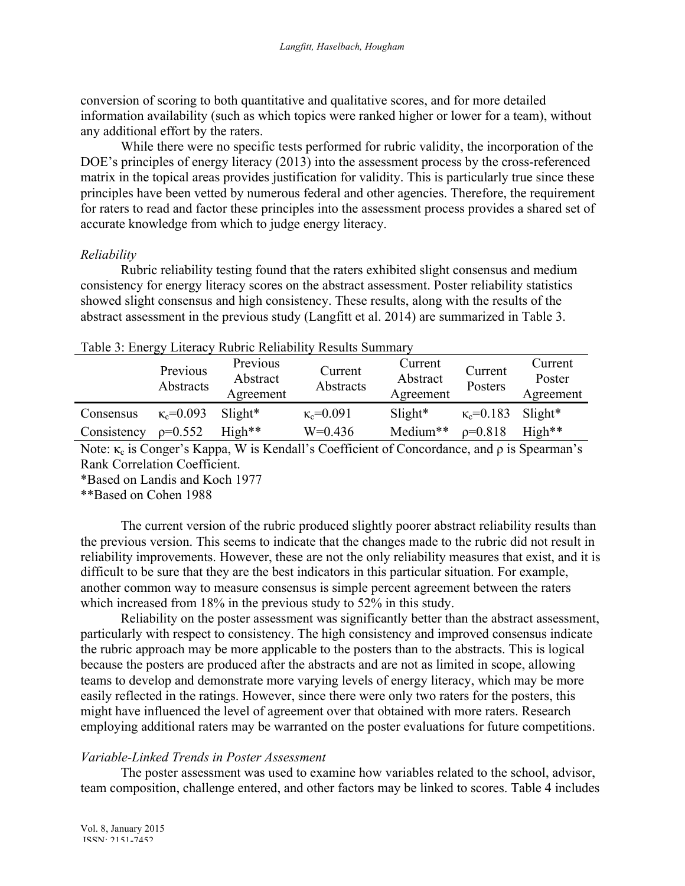conversion of scoring to both quantitative and qualitative scores, and for more detailed information availability (such as which topics were ranked higher or lower for a team), without any additional effort by the raters.

While there were no specific tests performed for rubric validity, the incorporation of the DOE's principles of energy literacy (2013) into the assessment process by the cross-referenced matrix in the topical areas provides justification for validity. This is particularly true since these principles have been vetted by numerous federal and other agencies. Therefore, the requirement for raters to read and factor these principles into the assessment process provides a shared set of accurate knowledge from which to judge energy literacy.

## *Reliability*

Rubric reliability testing found that the raters exhibited slight consensus and medium consistency for energy literacy scores on the abstract assessment. Poster reliability statistics showed slight consensus and high consistency. These results, along with the results of the abstract assessment in the previous study (Langfitt et al. 2014) are summarized in Table 3.

|             | Previous<br>Abstracts | Previous<br>Abstract<br>Agreement | Current<br>Abstracts | Current<br>Abstract<br>Agreement | Current<br>Posters | Current<br>Poster<br>Agreement |
|-------------|-----------------------|-----------------------------------|----------------------|----------------------------------|--------------------|--------------------------------|
| Consensus   | $\kappa_c = 0.093$    | $S$ light <sup>*</sup>            | $\kappa_c = 0.091$   | $S$ light <sup>*</sup>           | $\kappa_c = 0.183$ | $S$ light*                     |
| Consistency | $p=0.552$             | $High**$                          | $W=0.436$            | Medium**                         | $p=0.818$          | $High**$                       |
|             |                       |                                   |                      |                                  |                    |                                |

## Table 3: Energy Literacy Rubric Reliability Results Summary

Note: κ<sub>c</sub> is Conger's Kappa, W is Kendall's Coefficient of Concordance, and  $ρ$  is Spearman's Rank Correlation Coefficient.

\*Based on Landis and Koch 1977

\*\*Based on Cohen 1988

The current version of the rubric produced slightly poorer abstract reliability results than the previous version. This seems to indicate that the changes made to the rubric did not result in reliability improvements. However, these are not the only reliability measures that exist, and it is difficult to be sure that they are the best indicators in this particular situation. For example, another common way to measure consensus is simple percent agreement between the raters which increased from 18% in the previous study to 52% in this study.

Reliability on the poster assessment was significantly better than the abstract assessment, particularly with respect to consistency. The high consistency and improved consensus indicate the rubric approach may be more applicable to the posters than to the abstracts. This is logical because the posters are produced after the abstracts and are not as limited in scope, allowing teams to develop and demonstrate more varying levels of energy literacy, which may be more easily reflected in the ratings. However, since there were only two raters for the posters, this might have influenced the level of agreement over that obtained with more raters. Research employing additional raters may be warranted on the poster evaluations for future competitions.

## *Variable-Linked Trends in Poster Assessment*

The poster assessment was used to examine how variables related to the school, advisor, team composition, challenge entered, and other factors may be linked to scores. Table 4 includes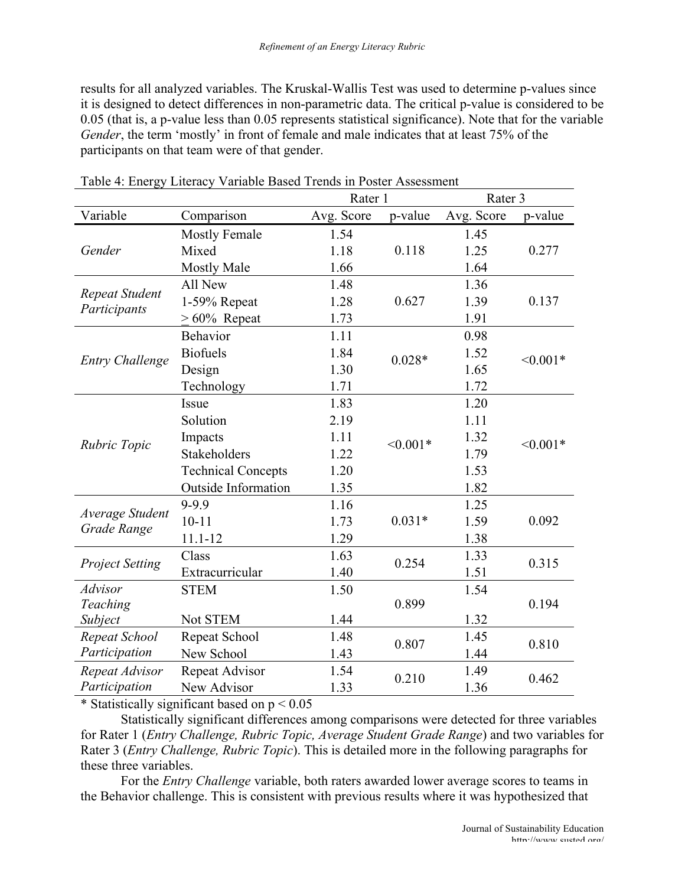results for all analyzed variables. The Kruskal-Wallis Test was used to determine p-values since it is designed to detect differences in non-parametric data. The critical p-value is considered to be 0.05 (that is, a p-value less than 0.05 represents statistical significance). Note that for the variable *Gender*, the term 'mostly' in front of female and male indicates that at least 75% of the participants on that team were of that gender.

|                                |                            | Rater 1    |            | Rater 3    |            |  |  |
|--------------------------------|----------------------------|------------|------------|------------|------------|--|--|
| Variable                       | Comparison                 | Avg. Score | p-value    | Avg. Score | p-value    |  |  |
|                                | <b>Mostly Female</b>       | 1.54       |            | 1.45       |            |  |  |
| Gender                         | Mixed                      | 1.18       | 0.118      | 1.25       | 0.277      |  |  |
|                                | <b>Mostly Male</b>         | 1.66       |            | 1.64       |            |  |  |
|                                | All New                    | 1.48       |            | 1.36       |            |  |  |
| Repeat Student<br>Participants | 1-59% Repeat               | 1.28       | 0.627      | 1.39       | 0.137      |  |  |
|                                | $>60\%$ Repeat             | 1.73       |            | 1.91       |            |  |  |
|                                | Behavior                   | 1.11       |            | 0.98       |            |  |  |
|                                | <b>Biofuels</b>            | 1.84       | $0.028*$   | 1.52       | $< 0.001*$ |  |  |
| <b>Entry Challenge</b>         | Design                     | 1.30       |            | 1.65       |            |  |  |
|                                | Technology                 | 1.71       |            | 1.72       |            |  |  |
|                                | Issue                      | 1.83       |            | 1.20       |            |  |  |
|                                | Solution                   | 2.19       |            | 1.11       |            |  |  |
| Rubric Topic                   | Impacts                    | 1.11       | $< 0.001*$ | 1.32       | $< 0.001*$ |  |  |
|                                | Stakeholders               | 1.22       |            | 1.79       |            |  |  |
|                                | <b>Technical Concepts</b>  | 1.20       |            | 1.53       |            |  |  |
|                                | <b>Outside Information</b> | 1.35       |            | 1.82       |            |  |  |
|                                | 9-9.9                      | 1.16       |            | 1.25       |            |  |  |
| Average Student<br>Grade Range | $10 - 11$                  | 1.73       | $0.031*$   | 1.59       | 0.092      |  |  |
|                                | $11.1 - 12$                | 1.29       |            | 1.38       |            |  |  |
|                                | Class                      | 1.63       | 0.254      | 1.33       | 0.315      |  |  |
| <b>Project Setting</b>         | Extracurricular            | 1.40       |            | 1.51       |            |  |  |
| <b>Advisor</b>                 | <b>STEM</b>                | 1.50       |            | 1.54       |            |  |  |
| Teaching                       |                            |            | 0.899      |            | 0.194      |  |  |
| Subject                        | Not STEM                   | 1.44       |            | 1.32       |            |  |  |
| Repeat School                  | Repeat School              | 1.48       | 0.807      | 1.45       | 0.810      |  |  |
| Participation                  | New School                 | 1.43       |            | 1.44       |            |  |  |
| Repeat Advisor                 | Repeat Advisor             | 1.54       | 0.210      | 1.49       | 0.462      |  |  |
| Participation                  | New Advisor                | 1.33       |            | 1.36       |            |  |  |

Table 4: Energy Literacy Variable Based Trends in Poster Assessment

\* Statistically significant based on  $p < 0.05$ 

Statistically significant differences among comparisons were detected for three variables for Rater 1 (*Entry Challenge, Rubric Topic, Average Student Grade Range*) and two variables for Rater 3 (*Entry Challenge, Rubric Topic*). This is detailed more in the following paragraphs for these three variables.

For the *Entry Challenge* variable, both raters awarded lower average scores to teams in the Behavior challenge. This is consistent with previous results where it was hypothesized that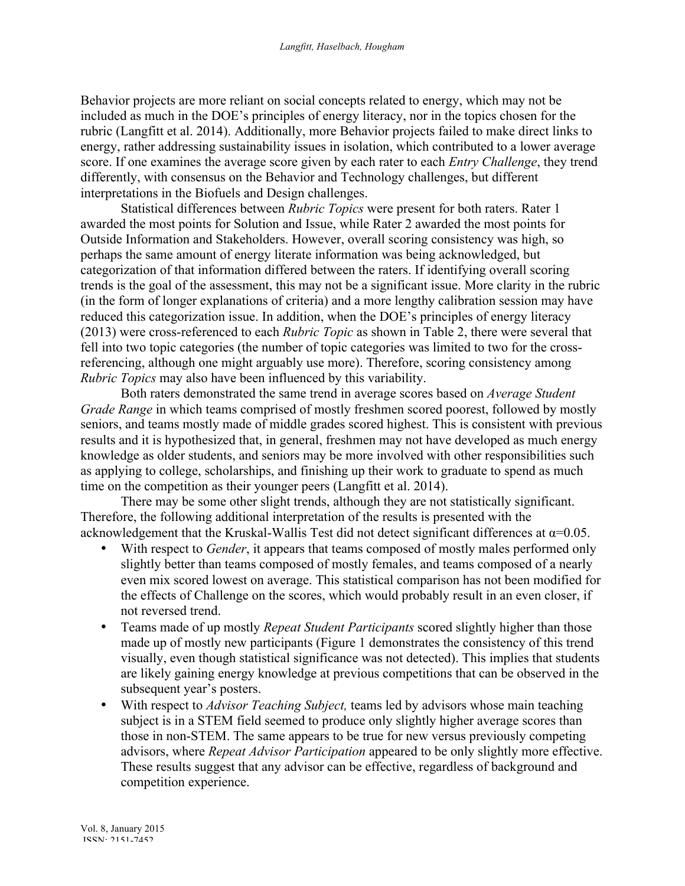Behavior projects are more reliant on social concepts related to energy, which may not be included as much in the DOE's principles of energy literacy, nor in the topics chosen for the rubric (Langfitt et al. 2014). Additionally, more Behavior projects failed to make direct links to energy, rather addressing sustainability issues in isolation, which contributed to a lower average score. If one examines the average score given by each rater to each *Entry Challenge*, they trend differently, with consensus on the Behavior and Technology challenges, but different interpretations in the Biofuels and Design challenges.

Statistical differences between *Rubric Topics* were present for both raters. Rater 1 awarded the most points for Solution and Issue, while Rater 2 awarded the most points for Outside Information and Stakeholders. However, overall scoring consistency was high, so perhaps the same amount of energy literate information was being acknowledged, but categorization of that information differed between the raters. If identifying overall scoring trends is the goal of the assessment, this may not be a significant issue. More clarity in the rubric (in the form of longer explanations of criteria) and a more lengthy calibration session may have reduced this categorization issue. In addition, when the DOE's principles of energy literacy (2013) were cross-referenced to each *Rubric Topic* as shown in Table 2, there were several that fell into two topic categories (the number of topic categories was limited to two for the crossreferencing, although one might arguably use more). Therefore, scoring consistency among *Rubric Topics* may also have been influenced by this variability.

Both raters demonstrated the same trend in average scores based on *Average Student Grade Range* in which teams comprised of mostly freshmen scored poorest, followed by mostly seniors, and teams mostly made of middle grades scored highest. This is consistent with previous results and it is hypothesized that, in general, freshmen may not have developed as much energy knowledge as older students, and seniors may be more involved with other responsibilities such as applying to college, scholarships, and finishing up their work to graduate to spend as much time on the competition as their younger peers (Langfitt et al. 2014).

There may be some other slight trends, although they are not statistically significant. Therefore, the following additional interpretation of the results is presented with the acknowledgement that the Kruskal-Wallis Test did not detect significant differences at  $\alpha$ =0.05.

- With respect to *Gender*, it appears that teams composed of mostly males performed only slightly better than teams composed of mostly females, and teams composed of a nearly even mix scored lowest on average. This statistical comparison has not been modified for the effects of Challenge on the scores, which would probably result in an even closer, if not reversed trend.
- Teams made of up mostly *Repeat Student Participants* scored slightly higher than those made up of mostly new participants (Figure 1 demonstrates the consistency of this trend visually, even though statistical significance was not detected). This implies that students are likely gaining energy knowledge at previous competitions that can be observed in the subsequent year's posters.
- With respect to *Advisor Teaching Subject,* teams led by advisors whose main teaching subject is in a STEM field seemed to produce only slightly higher average scores than those in non-STEM. The same appears to be true for new versus previously competing advisors, where *Repeat Advisor Participation* appeared to be only slightly more effective. These results suggest that any advisor can be effective, regardless of background and competition experience.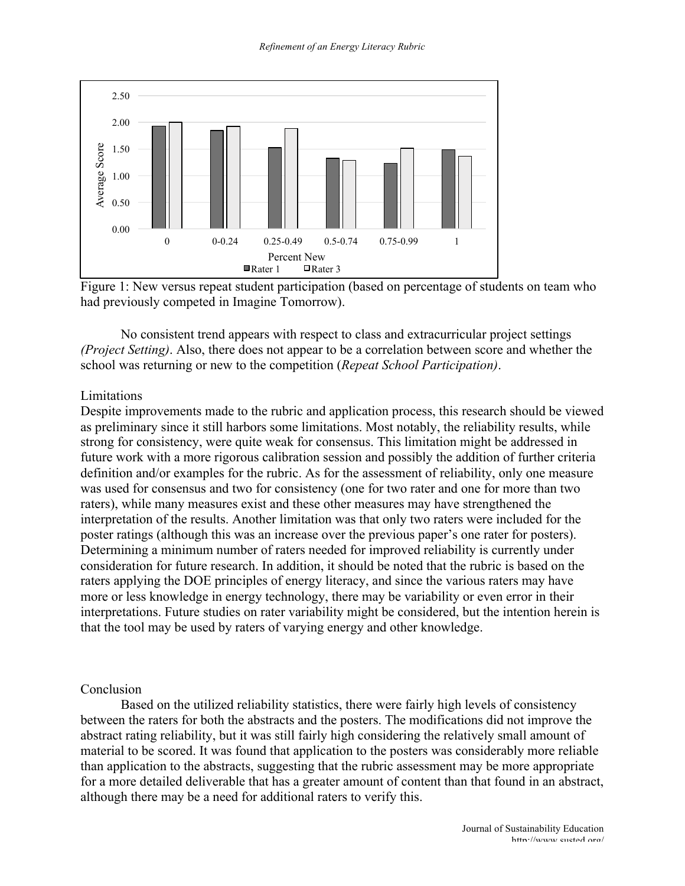

Figure 1: New versus repeat student participation (based on percentage of students on team who had previously competed in Imagine Tomorrow).

No consistent trend appears with respect to class and extracurricular project settings *(Project Setting)*. Also, there does not appear to be a correlation between score and whether the school was returning or new to the competition (*Repeat School Participation)*.

### Limitations

Despite improvements made to the rubric and application process, this research should be viewed as preliminary since it still harbors some limitations. Most notably, the reliability results, while strong for consistency, were quite weak for consensus. This limitation might be addressed in future work with a more rigorous calibration session and possibly the addition of further criteria definition and/or examples for the rubric. As for the assessment of reliability, only one measure was used for consensus and two for consistency (one for two rater and one for more than two raters), while many measures exist and these other measures may have strengthened the interpretation of the results. Another limitation was that only two raters were included for the poster ratings (although this was an increase over the previous paper's one rater for posters). Determining a minimum number of raters needed for improved reliability is currently under consideration for future research. In addition, it should be noted that the rubric is based on the raters applying the DOE principles of energy literacy, and since the various raters may have more or less knowledge in energy technology, there may be variability or even error in their interpretations. Future studies on rater variability might be considered, but the intention herein is that the tool may be used by raters of varying energy and other knowledge.

### Conclusion

Based on the utilized reliability statistics, there were fairly high levels of consistency between the raters for both the abstracts and the posters. The modifications did not improve the abstract rating reliability, but it was still fairly high considering the relatively small amount of material to be scored. It was found that application to the posters was considerably more reliable than application to the abstracts, suggesting that the rubric assessment may be more appropriate for a more detailed deliverable that has a greater amount of content than that found in an abstract, although there may be a need for additional raters to verify this.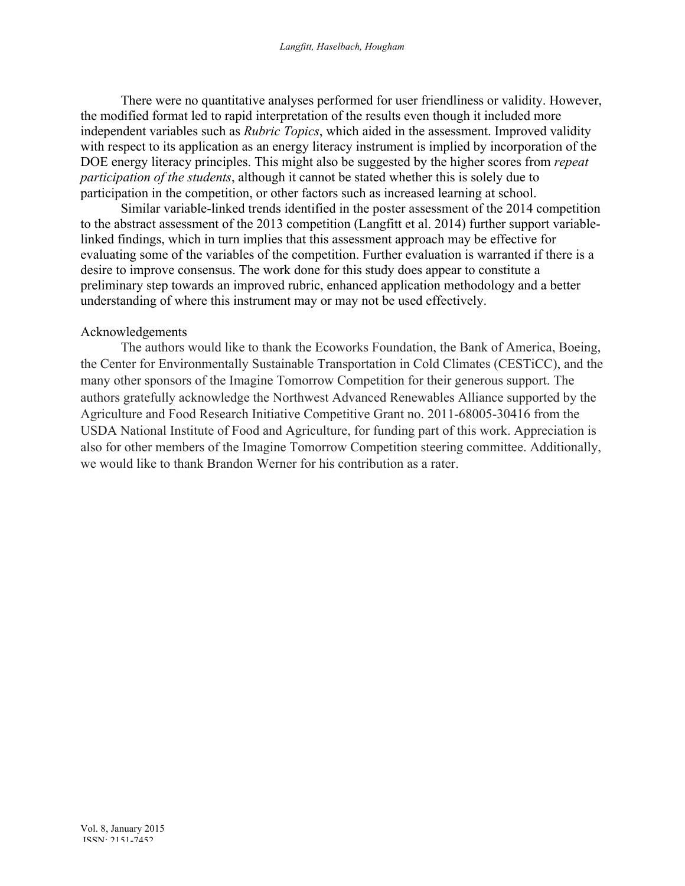There were no quantitative analyses performed for user friendliness or validity. However, the modified format led to rapid interpretation of the results even though it included more independent variables such as *Rubric Topics*, which aided in the assessment. Improved validity with respect to its application as an energy literacy instrument is implied by incorporation of the DOE energy literacy principles. This might also be suggested by the higher scores from *repeat participation of the students*, although it cannot be stated whether this is solely due to participation in the competition, or other factors such as increased learning at school.

Similar variable-linked trends identified in the poster assessment of the 2014 competition to the abstract assessment of the 2013 competition (Langfitt et al. 2014) further support variablelinked findings, which in turn implies that this assessment approach may be effective for evaluating some of the variables of the competition. Further evaluation is warranted if there is a desire to improve consensus. The work done for this study does appear to constitute a preliminary step towards an improved rubric, enhanced application methodology and a better understanding of where this instrument may or may not be used effectively.

### Acknowledgements

The authors would like to thank the Ecoworks Foundation, the Bank of America, Boeing, the Center for Environmentally Sustainable Transportation in Cold Climates (CESTiCC), and the many other sponsors of the Imagine Tomorrow Competition for their generous support. The authors gratefully acknowledge the Northwest Advanced Renewables Alliance supported by the Agriculture and Food Research Initiative Competitive Grant no. 2011-68005-30416 from the USDA National Institute of Food and Agriculture, for funding part of this work. Appreciation is also for other members of the Imagine Tomorrow Competition steering committee. Additionally, we would like to thank Brandon Werner for his contribution as a rater.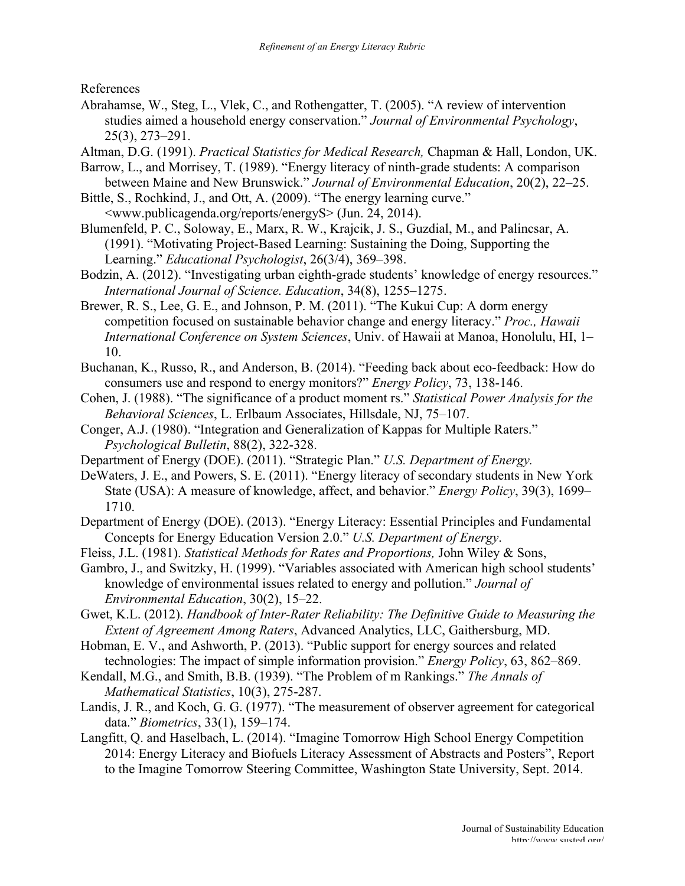References

Abrahamse, W., Steg, L., Vlek, C., and Rothengatter, T. (2005). "A review of intervention studies aimed a household energy conservation." *Journal of Environmental Psychology*, 25(3), 273–291.

Altman, D.G. (1991). *Practical Statistics for Medical Research,* Chapman & Hall, London, UK.

- Barrow, L., and Morrisey, T. (1989). "Energy literacy of ninth-grade students: A comparison between Maine and New Brunswick." *Journal of Environmental Education*, 20(2), 22–25.
- Bittle, S., Rochkind, J., and Ott, A. (2009). "The energy learning curve." <www.publicagenda.org/reports/energyS> (Jun. 24, 2014).
- Blumenfeld, P. C., Soloway, E., Marx, R. W., Krajcik, J. S., Guzdial, M., and Palincsar, A. (1991). "Motivating Project-Based Learning: Sustaining the Doing, Supporting the Learning." *Educational Psychologist*, 26(3/4), 369–398.
- Bodzin, A. (2012). "Investigating urban eighth-grade students' knowledge of energy resources." *International Journal of Science. Education*, 34(8), 1255–1275.
- Brewer, R. S., Lee, G. E., and Johnson, P. M. (2011). "The Kukui Cup: A dorm energy competition focused on sustainable behavior change and energy literacy." *Proc., Hawaii International Conference on System Sciences*, Univ. of Hawaii at Manoa, Honolulu, HI, 1– 10.
- Buchanan, K., Russo, R., and Anderson, B. (2014). "Feeding back about eco-feedback: How do consumers use and respond to energy monitors?" *Energy Policy*, 73, 138-146.
- Cohen, J. (1988). "The significance of a product moment rs." *Statistical Power Analysis for the Behavioral Sciences*, L. Erlbaum Associates, Hillsdale, NJ, 75–107.
- Conger, A.J. (1980). "Integration and Generalization of Kappas for Multiple Raters." *Psychological Bulletin*, 88(2), 322-328.
- Department of Energy (DOE). (2011). "Strategic Plan." *U.S. Department of Energy.*
- DeWaters, J. E., and Powers, S. E. (2011). "Energy literacy of secondary students in New York State (USA): A measure of knowledge, affect, and behavior." *Energy Policy*, 39(3), 1699– 1710.
- Department of Energy (DOE). (2013). "Energy Literacy: Essential Principles and Fundamental Concepts for Energy Education Version 2.0." *U.S. Department of Energy*.
- Fleiss, J.L. (1981). *Statistical Methods for Rates and Proportions,* John Wiley & Sons,
- Gambro, J., and Switzky, H. (1999). "Variables associated with American high school students' knowledge of environmental issues related to energy and pollution." *Journal of Environmental Education*, 30(2), 15–22.
- Gwet, K.L. (2012). *Handbook of Inter-Rater Reliability: The Definitive Guide to Measuring the Extent of Agreement Among Raters*, Advanced Analytics, LLC, Gaithersburg, MD.
- Hobman, E. V., and Ashworth, P. (2013). "Public support for energy sources and related technologies: The impact of simple information provision." *Energy Policy*, 63, 862–869.
- Kendall, M.G., and Smith, B.B. (1939). "The Problem of m Rankings." *The Annals of Mathematical Statistics*, 10(3), 275-287.
- Landis, J. R., and Koch, G. G. (1977). "The measurement of observer agreement for categorical data." *Biometrics*, 33(1), 159–174.
- Langfitt, Q. and Haselbach, L. (2014). "Imagine Tomorrow High School Energy Competition 2014: Energy Literacy and Biofuels Literacy Assessment of Abstracts and Posters", Report to the Imagine Tomorrow Steering Committee, Washington State University, Sept. 2014.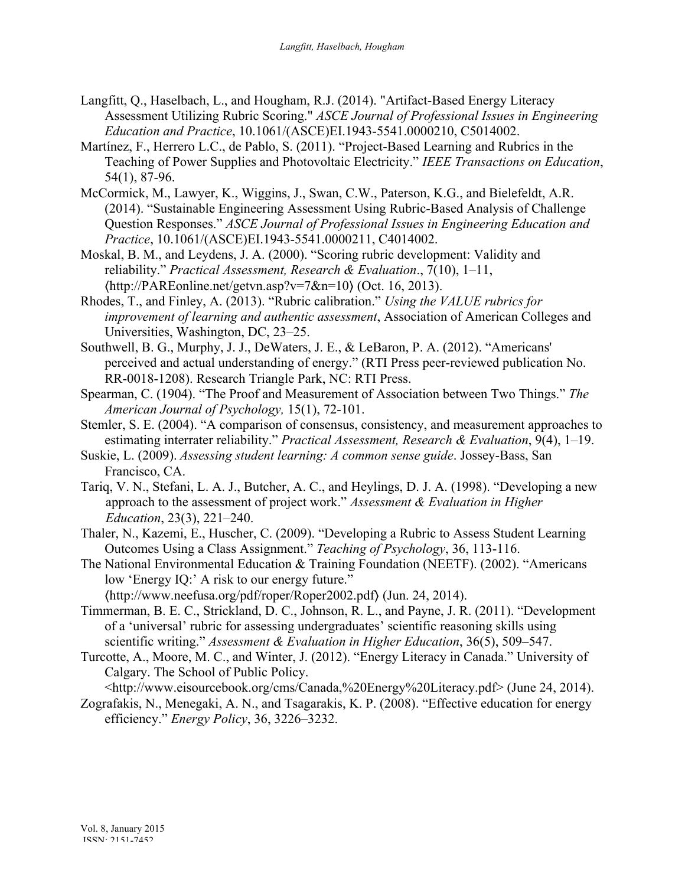- Langfitt, Q., Haselbach, L., and Hougham, R.J. (2014). "Artifact-Based Energy Literacy Assessment Utilizing Rubric Scoring." *ASCE Journal of Professional Issues in Engineering Education and Practice*, 10.1061/(ASCE)EI.1943-5541.0000210, C5014002.
- Martínez, F., Herrero L.C., de Pablo, S. (2011). "Project-Based Learning and Rubrics in the Teaching of Power Supplies and Photovoltaic Electricity." *IEEE Transactions on Education*, 54(1), 87-96.
- McCormick, M., Lawyer, K., Wiggins, J., Swan, C.W., Paterson, K.G., and Bielefeldt, A.R. (2014). "Sustainable Engineering Assessment Using Rubric-Based Analysis of Challenge Question Responses." *ASCE Journal of Professional Issues in Engineering Education and Practice*, 10.1061/(ASCE)EI.1943-5541.0000211, C4014002.
- Moskal, B. M., and Leydens, J. A. (2000). "Scoring rubric development: Validity and reliability." *Practical Assessment, Research & Evaluation*., 7(10), 1–11, 〈http://PAREonline.net/getvn.asp?v=7&n=10〉 (Oct. 16, 2013).
- Rhodes, T., and Finley, A. (2013). "Rubric calibration." *Using the VALUE rubrics for improvement of learning and authentic assessment*, Association of American Colleges and Universities, Washington, DC, 23–25.
- Southwell, B. G., Murphy, J. J., DeWaters, J. E., & LeBaron, P. A. (2012). "Americans' perceived and actual understanding of energy." (RTI Press peer-reviewed publication No. RR-0018-1208). Research Triangle Park, NC: RTI Press.
- Spearman, C. (1904). "The Proof and Measurement of Association between Two Things." *The American Journal of Psychology,* 15(1), 72-101.
- Stemler, S. E. (2004). "A comparison of consensus, consistency, and measurement approaches to estimating interrater reliability." *Practical Assessment, Research & Evaluation*, 9(4), 1–19.
- Suskie, L. (2009). *Assessing student learning: A common sense guide*. Jossey-Bass, San Francisco, CA.
- Tariq, V. N., Stefani, L. A. J., Butcher, A. C., and Heylings, D. J. A. (1998). "Developing a new approach to the assessment of project work." *Assessment & Evaluation in Higher Education*, 23(3), 221–240.
- Thaler, N., Kazemi, E., Huscher, C. (2009). "Developing a Rubric to Assess Student Learning Outcomes Using a Class Assignment." *Teaching of Psychology*, 36, 113-116.
- The National Environmental Education & Training Foundation (NEETF). (2002). "Americans low 'Energy IQ:' A risk to our energy future."

〈http://www.neefusa.org/pdf/roper/Roper2002.pdf〉 (Jun. 24, 2014).

- Timmerman, B. E. C., Strickland, D. C., Johnson, R. L., and Payne, J. R. (2011). "Development of a 'universal' rubric for assessing undergraduates' scientific reasoning skills using scientific writing." *Assessment & Evaluation in Higher Education*, 36(5), 509–547.
- Turcotte, A., Moore, M. C., and Winter, J. (2012). "Energy Literacy in Canada." University of Calgary. The School of Public Policy.

<http://www.eisourcebook.org/cms/Canada,%20Energy%20Literacy.pdf> (June 24, 2014).

Zografakis, N., Menegaki, A. N., and Tsagarakis, K. P. (2008). "Effective education for energy efficiency." *Energy Policy*, 36, 3226–3232.